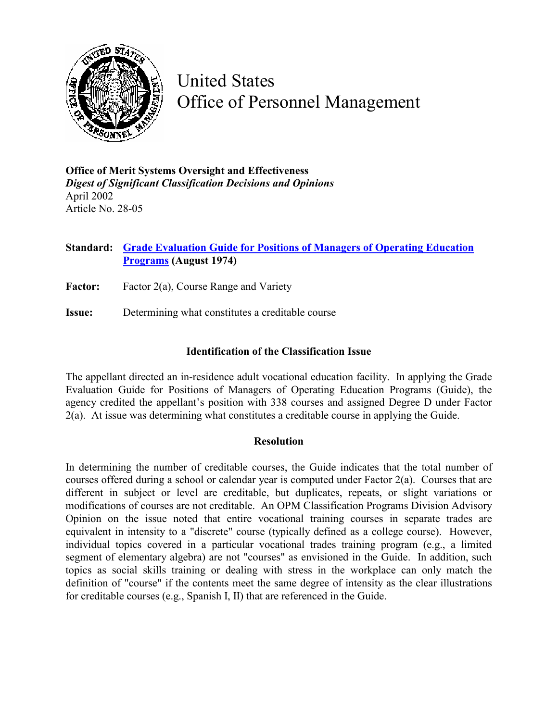

United States Office of Personnel Management

**Office of Merit Systems Oversight and Effectiveness**  *Digest of Significant Classification Decisions and Opinions* April 2002 Article No. 28-05

## **Standard: [Grade Evaluation Guide for Positions of Managers of Operating Education](http://www.opm.gov/fedclass/gseduc.pdf) [Programs](http://www.opm.gov/fedclass/gseduc.pdf) (August 1974)**

**Factor:** Factor 2(a), Course Range and Variety

**Issue:** Determining what constitutes a creditable course

## **Identification of the Classification Issue**

The appellant directed an in-residence adult vocational education facility. In applying the Grade Evaluation Guide for Positions of Managers of Operating Education Programs (Guide), the agency credited the appellant's position with 338 courses and assigned Degree D under Factor 2(a). At issue was determining what constitutes a creditable course in applying the Guide.

## **Resolution**

In determining the number of creditable courses, the Guide indicates that the total number of courses offered during a school or calendar year is computed under Factor 2(a). Courses that are different in subject or level are creditable, but duplicates, repeats, or slight variations or modifications of courses are not creditable. An OPM Classification Programs Division Advisory Opinion on the issue noted that entire vocational training courses in separate trades are equivalent in intensity to a "discrete" course (typically defined as a college course). However, individual topics covered in a particular vocational trades training program (e.g., a limited segment of elementary algebra) are not "courses" as envisioned in the Guide. In addition, such topics as social skills training or dealing with stress in the workplace can only match the definition of "course" if the contents meet the same degree of intensity as the clear illustrations for creditable courses (e.g., Spanish I, II) that are referenced in the Guide.